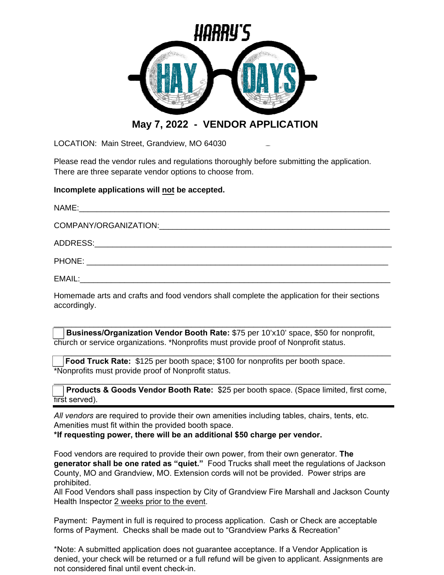

## **May 7, 2022 - VENDOR APPLICATION**

LOCATION: Main Street, Grandview, MO 64030

Please read the vendor rules and regulations thoroughly before submitting the application. There are three separate vendor options to choose from.

## **Incomplete applications will not be accepted.**

Homemade arts and crafts and food vendors shall complete the application for their sections accordingly.

\_\_\_\_\_\_\_\_\_\_\_\_\_\_\_\_\_\_\_\_\_\_\_\_\_\_\_\_\_\_\_\_\_\_\_\_\_\_\_\_\_\_\_\_\_\_\_\_\_\_\_\_\_\_\_\_\_\_\_\_\_\_\_\_\_\_\_\_\_\_\_\_\_\_\_\_ **B Business/Organization Vendor Booth Rate:** \$75 per 10'x10' space, \$50 for nonprofit, church or service organizations. \*Nonprofits must provide proof of Nonprofit status.

**F Food Truck Rate:** \$125 per booth space; \$100 for nonprofits per booth space. \*Nonprofits must provide proof of Nonprofit status.

\_\_\_\_\_\_\_\_\_\_\_\_\_\_\_\_\_\_\_\_\_\_\_\_\_\_\_\_\_\_\_\_\_\_\_\_\_\_\_\_\_\_\_\_\_\_\_\_\_\_\_\_\_\_\_\_\_\_\_\_\_\_\_\_\_\_\_\_\_\_\_\_\_\_\_\_ **A Products & Goods Vendor Booth Rate:** \$25 per booth space. (Space limited, first come, first served).

\_\_\_\_\_\_\_\_\_\_\_\_\_\_\_\_\_\_\_\_\_\_\_\_\_\_\_\_\_\_\_\_\_\_\_\_\_\_\_\_\_\_\_\_\_\_\_\_\_\_\_\_\_\_\_\_\_\_\_\_\_\_\_\_\_\_\_\_\_\_\_\_\_\_\_\_

*All vendors* are required to provide their own amenities including tables, chairs, tents, etc. Amenities must fit within the provided booth space.

**\*If requesting power, there will be an additional \$50 charge per vendor.**

Food vendors are required to provide their own power, from their own generator. **The generator shall be one rated as "quiet."** Food Trucks shall meet the regulations of Jackson County, MO and Grandview, MO. Extension cords will not be provided. Power strips are prohibited.

All Food Vendors shall pass inspection by City of Grandview Fire Marshall and Jackson County Health Inspector 2 weeks prior to the event.

Payment: Payment in full is required to process application. Cash or Check are acceptable forms of Payment. Checks shall be made out to "Grandview Parks & Recreation"

\*Note: A submitted application does not guarantee acceptance. If a Vendor Application is denied, your check will be returned or a full refund will be given to applicant. Assignments are not considered final until event check-in.